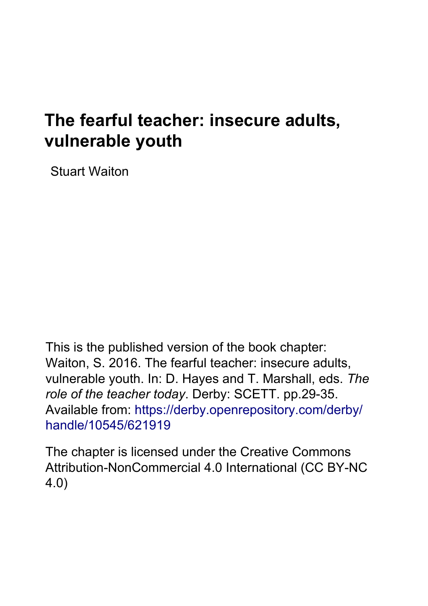# **The fearful teacher: insecure adults, vulnerable youth**

Stuart Waiton

This is the published version of the book chapter: Waiton, S. 2016. The fearful teacher: insecure adults, vulnerable youth. In: D. Hayes and T. Marshall, eds. *The role of the teacher today*. Derby: SCETT. pp.29-35. Available from: [https://derby.openrepository.com/derby/](https://derby.openrepository.com/derby/handle/10545/621919) [handle/10545/621919](https://derby.openrepository.com/derby/handle/10545/621919)

The chapter is licensed under th[e Creative Commons](https://creativecommons.org/licenses/by-nc/4.0/)  [Attribution-NonCommercial 4.0 International \(CC BY-NC](https://creativecommons.org/licenses/by-nc/4.0/)  [4.0\)](https://creativecommons.org/licenses/by-nc/4.0/)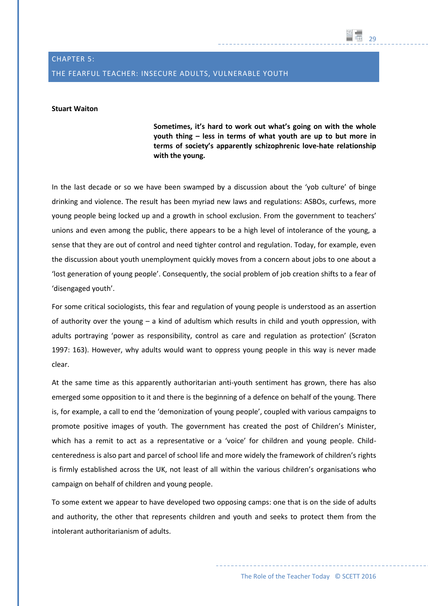# CHAPTER 5: THE FEARFUL TEACHER: INSECURE ADULTS, VULNERABLE YOUTH

# **Stuart Waiton**

**Sometimes, it's hard to work out what's going on with the whole youth thing – less in terms of what youth are up to but more in terms of society's apparently schizophrenic love-hate relationship with the young.** 

29

In the last decade or so we have been swamped by a discussion about the 'yob culture' of binge drinking and violence. The result has been myriad new laws and regulations: ASBOs, curfews, more young people being locked up and a growth in school exclusion. From the government to teachers' unions and even among the public, there appears to be a high level of intolerance of the young, a sense that they are out of control and need tighter control and regulation. Today, for example, even the discussion about youth unemployment quickly moves from a concern about jobs to one about a 'lost generation of young people'. Consequently, the social problem of job creation shifts to a fear of 'disengaged youth'.

For some critical sociologists, this fear and regulation of young people is understood as an assertion of authority over the young – a kind of adultism which results in child and youth oppression, with adults portraying 'power as responsibility, control as care and regulation as protection' (Scraton 1997: 163). However, why adults would want to oppress young people in this way is never made clear.

At the same time as this apparently authoritarian anti-youth sentiment has grown, there has also emerged some opposition to it and there is the beginning of a defence on behalf of the young. There is, for example, a call to end the 'demonization of young people', coupled with various campaigns to promote positive images of youth. The government has created the post of Children's Minister, which has a remit to act as a representative or a 'voice' for children and young people. Childcenteredness is also part and parcel of school life and more widely the framework of children's rights is firmly established across the UK, not least of all within the various children's organisations who campaign on behalf of children and young people.

To some extent we appear to have developed two opposing camps: one that is on the side of adults and authority, the other that represents children and youth and seeks to protect them from the intolerant authoritarianism of adults.

The Role of the Teacher Today © SCETT 2016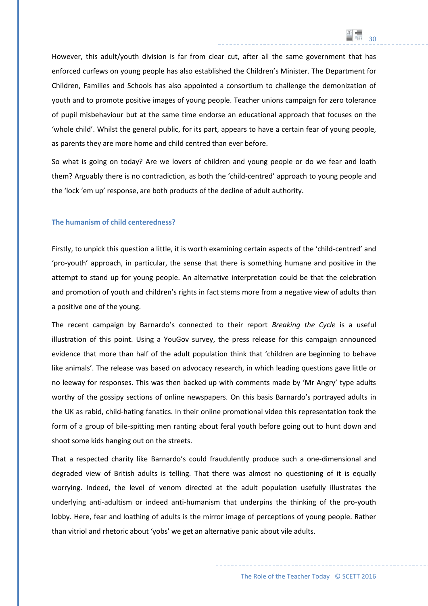However, this adult/youth division is far from clear cut, after all the same government that has enforced curfews on young people has also established the Children's Minister. The Department for Children, Families and Schools has also appointed a consortium to challenge the demonization of youth and to promote positive images of young people. Teacher unions campaign for zero tolerance of pupil misbehaviour but at the same time endorse an educational approach that focuses on the 'whole child'. Whilst the general public, for its part, appears to have a certain fear of young people, as parents they are more home and child centred than ever before.

30

So what is going on today? Are we lovers of children and young people or do we fear and loath them? Arguably there is no contradiction, as both the 'child-centred' approach to young people and the 'lock 'em up' response, are both products of the decline of adult authority.

#### **The humanism of child centeredness?**

Firstly, to unpick this question a little, it is worth examining certain aspects of the 'child-centred' and 'pro-youth' approach, in particular, the sense that there is something humane and positive in the attempt to stand up for young people. An alternative interpretation could be that the celebration and promotion of youth and children's rights in fact stems more from a negative view of adults than a positive one of the young.

The recent campaign by Barnardo's connected to their report *Breaking the Cycle* is a useful illustration of this point. Using a YouGov survey, the press release for this campaign announced evidence that more than half of the adult population think that 'children are beginning to behave like animals'. The release was based on advocacy research, in which leading questions gave little or no leeway for responses. This was then backed up with comments made by 'Mr Angry' type adults worthy of the gossipy sections of online newspapers. On this basis Barnardo's portrayed adults in the UK as rabid, child-hating fanatics. In their online promotional video this representation took the form of a group of bile-spitting men ranting about feral youth before going out to hunt down and shoot some kids hanging out on the streets.

That a respected charity like Barnardo's could fraudulently produce such a one-dimensional and degraded view of British adults is telling. That there was almost no questioning of it is equally worrying. Indeed, the level of venom directed at the adult population usefully illustrates the underlying anti-adultism or indeed anti-humanism that underpins the thinking of the pro-youth lobby. Here, fear and loathing of adults is the mirror image of perceptions of young people. Rather than vitriol and rhetoric about 'yobs' we get an alternative panic about vile adults.

The Role of the Teacher Today © SCETT 2016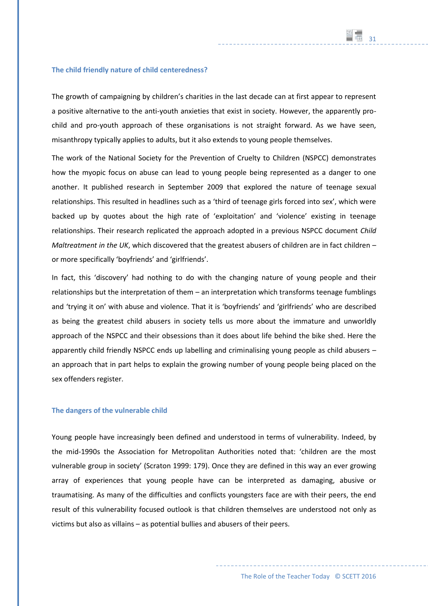#### **The child friendly nature of child centeredness?**

The growth of campaigning by children's charities in the last decade can at first appear to represent a positive alternative to the anti-youth anxieties that exist in society. However, the apparently prochild and pro-youth approach of these organisations is not straight forward. As we have seen, misanthropy typically applies to adults, but it also extends to young people themselves.

The work of the National Society for the Prevention of Cruelty to Children (NSPCC) demonstrates how the myopic focus on abuse can lead to young people being represented as a danger to one another. It published research in September 2009 that explored the nature of teenage sexual relationships. This resulted in headlines such as a 'third of teenage girls forced into sex', which were backed up by quotes about the high rate of 'exploitation' and 'violence' existing in teenage relationships. Their research replicated the approach adopted in a previous NSPCC document *Child Maltreatment in the UK*, which discovered that the greatest abusers of children are in fact children – or more specifically 'boyfriends' and 'girlfriends'.

In fact, this 'discovery' had nothing to do with the changing nature of young people and their relationships but the interpretation of them – an interpretation which transforms teenage fumblings and 'trying it on' with abuse and violence. That it is 'boyfriends' and 'girlfriends' who are described as being the greatest child abusers in society tells us more about the immature and unworldly approach of the NSPCC and their obsessions than it does about life behind the bike shed. Here the apparently child friendly NSPCC ends up labelling and criminalising young people as child abusers – an approach that in part helps to explain the growing number of young people being placed on the sex offenders register.

#### **The dangers of the vulnerable child**

Young people have increasingly been defined and understood in terms of vulnerability. Indeed, by the mid-1990s the Association for Metropolitan Authorities noted that: 'children are the most vulnerable group in society' (Scraton 1999: 179). Once they are defined in this way an ever growing array of experiences that young people have can be interpreted as damaging, abusive or traumatising. As many of the difficulties and conflicts youngsters face are with their peers, the end result of this vulnerability focused outlook is that children themselves are understood not only as victims but also as villains – as potential bullies and abusers of their peers.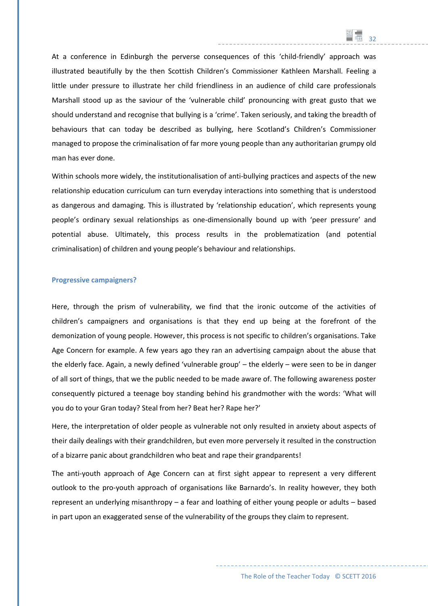At a conference in Edinburgh the perverse consequences of this 'child-friendly' approach was illustrated beautifully by the then Scottish Children's Commissioner Kathleen Marshall. Feeling a little under pressure to illustrate her child friendliness in an audience of child care professionals Marshall stood up as the saviour of the 'vulnerable child' pronouncing with great gusto that we should understand and recognise that bullying is a 'crime'. Taken seriously, and taking the breadth of behaviours that can today be described as bullying, here Scotland's Children's Commissioner managed to propose the criminalisation of far more young people than any authoritarian grumpy old man has ever done.

32

Within schools more widely, the institutionalisation of anti-bullying practices and aspects of the new relationship education curriculum can turn everyday interactions into something that is understood as dangerous and damaging. This is illustrated by 'relationship education', which represents young people's ordinary sexual relationships as one-dimensionally bound up with 'peer pressure' and potential abuse. Ultimately, this process results in the problematization (and potential criminalisation) of children and young people's behaviour and relationships.

#### **Progressive campaigners?**

Here, through the prism of vulnerability, we find that the ironic outcome of the activities of children's campaigners and organisations is that they end up being at the forefront of the demonization of young people. However, this process is not specific to children's organisations. Take Age Concern for example. A few years ago they ran an advertising campaign about the abuse that the elderly face. Again, a newly defined 'vulnerable group' – the elderly – were seen to be in danger of all sort of things, that we the public needed to be made aware of. The following awareness poster consequently pictured a teenage boy standing behind his grandmother with the words: 'What will you do to your Gran today? Steal from her? Beat her? Rape her?'

Here, the interpretation of older people as vulnerable not only resulted in anxiety about aspects of their daily dealings with their grandchildren, but even more perversely it resulted in the construction of a bizarre panic about grandchildren who beat and rape their grandparents!

The anti-youth approach of Age Concern can at first sight appear to represent a very different outlook to the pro-youth approach of organisations like Barnardo's. In reality however, they both represent an underlying misanthropy – a fear and loathing of either young people or adults – based in part upon an exaggerated sense of the vulnerability of the groups they claim to represent.

The Role of the Teacher Today © SCETT 2016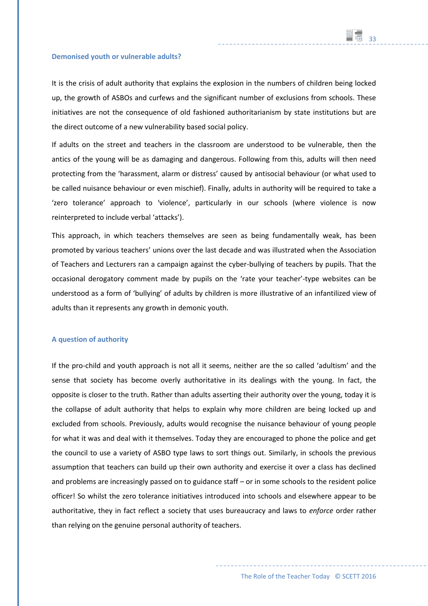#### **Demonised youth or vulnerable adults?**

It is the crisis of adult authority that explains the explosion in the numbers of children being locked up, the growth of ASBOs and curfews and the significant number of exclusions from schools. These initiatives are not the consequence of old fashioned authoritarianism by state institutions but are the direct outcome of a new vulnerability based social policy.

If adults on the street and teachers in the classroom are understood to be vulnerable, then the antics of the young will be as damaging and dangerous. Following from this, adults will then need protecting from the 'harassment, alarm or distress' caused by antisocial behaviour (or what used to be called nuisance behaviour or even mischief). Finally, adults in authority will be required to take a 'zero tolerance' approach to 'violence', particularly in our schools (where violence is now reinterpreted to include verbal 'attacks').

This approach, in which teachers themselves are seen as being fundamentally weak, has been promoted by various teachers' unions over the last decade and was illustrated when the Association of Teachers and Lecturers ran a campaign against the cyber-bullying of teachers by pupils. That the occasional derogatory comment made by pupils on the 'rate your teacher'-type websites can be understood as a form of 'bullying' of adults by children is more illustrative of an infantilized view of adults than it represents any growth in demonic youth.

## **A question of authority**

If the pro-child and youth approach is not all it seems, neither are the so called 'adultism' and the sense that society has become overly authoritative in its dealings with the young. In fact, the opposite is closer to the truth. Rather than adults asserting their authority over the young, today it is the collapse of adult authority that helps to explain why more children are being locked up and excluded from schools. Previously, adults would recognise the nuisance behaviour of young people for what it was and deal with it themselves. Today they are encouraged to phone the police and get the council to use a variety of ASBO type laws to sort things out. Similarly, in schools the previous assumption that teachers can build up their own authority and exercise it over a class has declined and problems are increasingly passed on to guidance staff – or in some schools to the resident police officer! So whilst the zero tolerance initiatives introduced into schools and elsewhere appear to be authoritative, they in fact reflect a society that uses bureaucracy and laws to *enforce* order rather than relying on the genuine personal authority of teachers.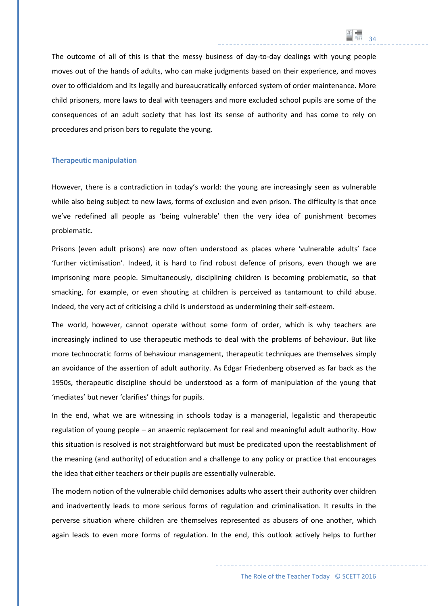The outcome of all of this is that the messy business of day-to-day dealings with young people moves out of the hands of adults, who can make judgments based on their experience, and moves over to officialdom and its legally and bureaucratically enforced system of order maintenance. More child prisoners, more laws to deal with teenagers and more excluded school pupils are some of the consequences of an adult society that has lost its sense of authority and has come to rely on procedures and prison bars to regulate the young.

34

#### **Therapeutic manipulation**

However, there is a contradiction in today's world: the young are increasingly seen as vulnerable while also being subject to new laws, forms of exclusion and even prison. The difficulty is that once we've redefined all people as 'being vulnerable' then the very idea of punishment becomes problematic.

Prisons (even adult prisons) are now often understood as places where 'vulnerable adults' face 'further victimisation'. Indeed, it is hard to find robust defence of prisons, even though we are imprisoning more people. Simultaneously, disciplining children is becoming problematic, so that smacking, for example, or even shouting at children is perceived as tantamount to child abuse. Indeed, the very act of criticising a child is understood as undermining their self-esteem.

The world, however, cannot operate without some form of order, which is why teachers are increasingly inclined to use therapeutic methods to deal with the problems of behaviour. But like more technocratic forms of behaviour management, therapeutic techniques are themselves simply an avoidance of the assertion of adult authority. As Edgar Friedenberg observed as far back as the 1950s, therapeutic discipline should be understood as a form of manipulation of the young that 'mediates' but never 'clarifies' things for pupils.

In the end, what we are witnessing in schools today is a managerial, legalistic and therapeutic regulation of young people – an anaemic replacement for real and meaningful adult authority. How this situation is resolved is not straightforward but must be predicated upon the reestablishment of the meaning (and authority) of education and a challenge to any policy or practice that encourages the idea that either teachers or their pupils are essentially vulnerable.

The modern notion of the vulnerable child demonises adults who assert their authority over children and inadvertently leads to more serious forms of regulation and criminalisation. It results in the perverse situation where children are themselves represented as abusers of one another, which again leads to even more forms of regulation. In the end, this outlook actively helps to further